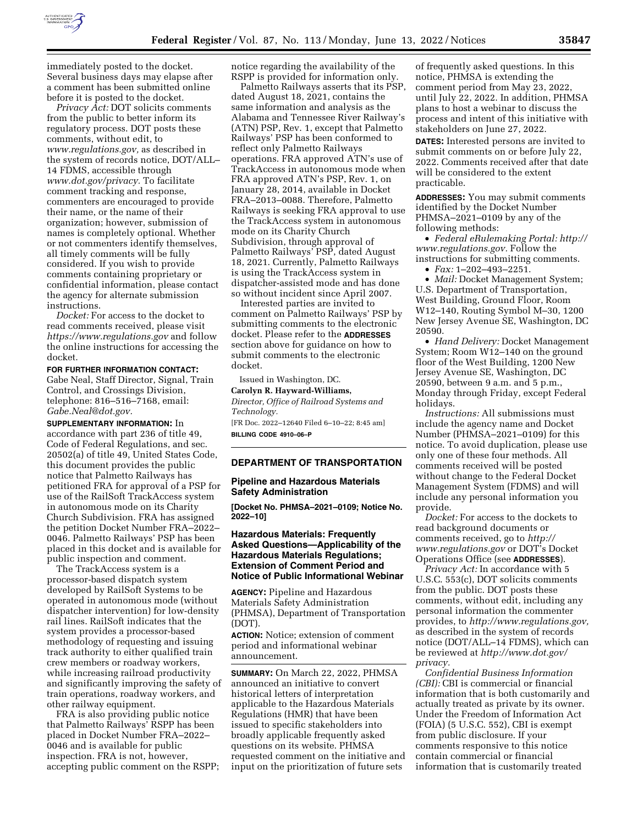

immediately posted to the docket. Several business days may elapse after a comment has been submitted online before it is posted to the docket.

*Privacy Act:* DOT solicits comments from the public to better inform its regulatory process. DOT posts these comments, without edit, to *[www.regulations.gov,](http://www.regulations.gov)* as described in the system of records notice, DOT/ALL– 14 FDMS, accessible through *[www.dot.gov/privacy.](http://www.dot.gov/privacy)* To facilitate comment tracking and response, commenters are encouraged to provide their name, or the name of their organization; however, submission of names is completely optional. Whether or not commenters identify themselves, all timely comments will be fully considered. If you wish to provide comments containing proprietary or confidential information, please contact the agency for alternate submission instructions.

*Docket:* For access to the docket to read comments received, please visit *<https://www.regulations.gov>* and follow the online instructions for accessing the docket.

## **FOR FURTHER INFORMATION CONTACT:**

Gabe Neal, Staff Director, Signal, Train Control, and Crossings Division, telephone: 816–516–7168, email: *[Gabe.Neal@dot.gov.](mailto:Gabe.Neal@dot.gov)* 

**SUPPLEMENTARY INFORMATION:** In accordance with part 236 of title 49, Code of Federal Regulations, and sec. 20502(a) of title 49, United States Code, this document provides the public notice that Palmetto Railways has petitioned FRA for approval of a PSP for use of the RailSoft TrackAccess system in autonomous mode on its Charity Church Subdivision. FRA has assigned the petition Docket Number FRA–2022– 0046. Palmetto Railways' PSP has been placed in this docket and is available for public inspection and comment.

The TrackAccess system is a processor-based dispatch system developed by RailSoft Systems to be operated in autonomous mode (without dispatcher intervention) for low-density rail lines. RailSoft indicates that the system provides a processor-based methodology of requesting and issuing track authority to either qualified train crew members or roadway workers, while increasing railroad productivity and significantly improving the safety of train operations, roadway workers, and other railway equipment.

FRA is also providing public notice that Palmetto Railways' RSPP has been placed in Docket Number FRA–2022– 0046 and is available for public inspection. FRA is not, however, accepting public comment on the RSPP; notice regarding the availability of the RSPP is provided for information only.

Palmetto Railways asserts that its PSP, dated August 18, 2021, contains the same information and analysis as the Alabama and Tennessee River Railway's (ATN) PSP, Rev. 1, except that Palmetto Railways' PSP has been conformed to reflect only Palmetto Railways operations. FRA approved ATN's use of TrackAccess in autonomous mode when FRA approved ATN's PSP, Rev. 1, on January 28, 2014, available in Docket FRA–2013–0088. Therefore, Palmetto Railways is seeking FRA approval to use the TrackAccess system in autonomous mode on its Charity Church Subdivision, through approval of Palmetto Railways' PSP, dated August 18, 2021. Currently, Palmetto Railways is using the TrackAccess system in dispatcher-assisted mode and has done so without incident since April 2007.

Interested parties are invited to comment on Palmetto Railways' PSP by submitting comments to the electronic docket. Please refer to the **ADDRESSES** section above for guidance on how to submit comments to the electronic docket.

Issued in Washington, DC.

**Carolyn R. Hayward-Williams,**  *Director, Office of Railroad Systems and Technology.* 

[FR Doc. 2022–12640 Filed 6–10–22; 8:45 am] **BILLING CODE 4910–06–P** 

# **DEPARTMENT OF TRANSPORTATION**

### **Pipeline and Hazardous Materials Safety Administration**

**[Docket No. PHMSA–2021–0109; Notice No. 2022–10]** 

# **Hazardous Materials: Frequently Asked Questions—Applicability of the Hazardous Materials Regulations; Extension of Comment Period and Notice of Public Informational Webinar**

**AGENCY:** Pipeline and Hazardous Materials Safety Administration (PHMSA), Department of Transportation (DOT).

**ACTION:** Notice; extension of comment period and informational webinar announcement.

**SUMMARY:** On March 22, 2022, PHMSA announced an initiative to convert historical letters of interpretation applicable to the Hazardous Materials Regulations (HMR) that have been issued to specific stakeholders into broadly applicable frequently asked questions on its website. PHMSA requested comment on the initiative and input on the prioritization of future sets

of frequently asked questions. In this notice, PHMSA is extending the comment period from May 23, 2022, until July 22, 2022. In addition, PHMSA plans to host a webinar to discuss the process and intent of this initiative with stakeholders on June 27, 2022.

**DATES:** Interested persons are invited to submit comments on or before July 22. 2022. Comments received after that date will be considered to the extent practicable.

**ADDRESSES:** You may submit comments identified by the Docket Number PHMSA–2021–0109 by any of the following methods:

• *Federal eRulemaking Portal: [http://](http://www.regulations.gov)  [www.regulations.gov.](http://www.regulations.gov)* Follow the instructions for submitting comments.

• *Fax:* 1–202–493–2251.

• *Mail:* Docket Management System; U.S. Department of Transportation, West Building, Ground Floor, Room W12–140, Routing Symbol M–30, 1200 New Jersey Avenue SE, Washington, DC 20590.

• *Hand Delivery:* Docket Management System; Room W12–140 on the ground floor of the West Building, 1200 New Jersey Avenue SE, Washington, DC 20590, between 9 a.m. and 5 p.m., Monday through Friday, except Federal holidays.

*Instructions:* All submissions must include the agency name and Docket Number (PHMSA–2021–0109) for this notice. To avoid duplication, please use only one of these four methods. All comments received will be posted without change to the Federal Docket Management System (FDMS) and will include any personal information you provide.

*Docket:* For access to the dockets to read background documents or comments received, go to *[http://](http://www.regulations.gov) [www.regulations.gov](http://www.regulations.gov)* or DOT's Docket Operations Office (see **ADDRESSES**).

*Privacy Act:* In accordance with 5 U.S.C. 553(c), DOT solicits comments from the public. DOT posts these comments, without edit, including any personal information the commenter provides, to *[http://www.regulations.gov,](http://www.regulations.gov)*  as described in the system of records notice (DOT/ALL–14 FDMS), which can be reviewed at *[http://www.dot.gov/](http://www.dot.gov/privacy)  [privacy.](http://www.dot.gov/privacy)* 

*Confidential Business Information (CBI):* CBI is commercial or financial information that is both customarily and actually treated as private by its owner. Under the Freedom of Information Act (FOIA) (5 U.S.C. 552), CBI is exempt from public disclosure. If your comments responsive to this notice contain commercial or financial information that is customarily treated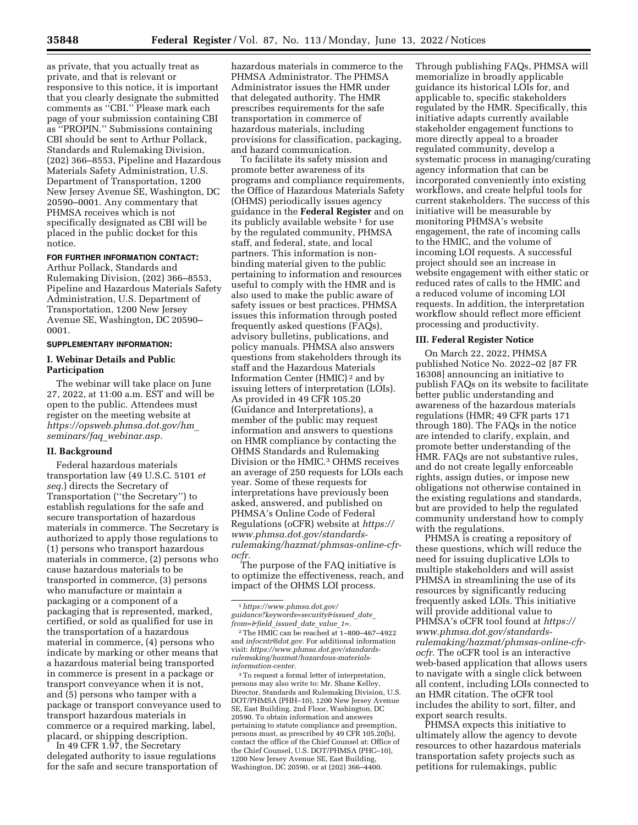as private, that you actually treat as private, and that is relevant or responsive to this notice, it is important that you clearly designate the submitted comments as ''CBI.'' Please mark each page of your submission containing CBI as ''PROPIN.'' Submissions containing CBI should be sent to Arthur Pollack, Standards and Rulemaking Division, (202) 366–8553, Pipeline and Hazardous Materials Safety Administration, U.S. Department of Transportation, 1200 New Jersey Avenue SE, Washington, DC 20590–0001. Any commentary that PHMSA receives which is not specifically designated as CBI will be placed in the public docket for this notice.

### **FOR FURTHER INFORMATION CONTACT:**

Arthur Pollack, Standards and Rulemaking Division, (202) 366–8553, Pipeline and Hazardous Materials Safety Administration, U.S. Department of Transportation, 1200 New Jersey Avenue SE, Washington, DC 20590– 0001.

# **SUPPLEMENTARY INFORMATION:**

# **I. Webinar Details and Public Participation**

The webinar will take place on June 27, 2022, at 11:00 a.m. EST and will be open to the public. Attendees must register on the meeting website at *[https://opsweb.phmsa.dot.gov/hm](https://opsweb.phmsa.dot.gov/hm_seminars/faq_webinar.asp)*\_ *[seminars/faq](https://opsweb.phmsa.dot.gov/hm_seminars/faq_webinar.asp)*\_*webinar.asp.* 

### **II. Background**

Federal hazardous materials transportation law (49 U.S.C. 5101 *et seq.*) directs the Secretary of Transportation (''the Secretary'') to establish regulations for the safe and secure transportation of hazardous materials in commerce. The Secretary is authorized to apply those regulations to (1) persons who transport hazardous materials in commerce, (2) persons who cause hazardous materials to be transported in commerce, (3) persons who manufacture or maintain a packaging or a component of a packaging that is represented, marked, certified, or sold as qualified for use in the transportation of a hazardous material in commerce, (4) persons who indicate by marking or other means that a hazardous material being transported in commerce is present in a package or transport conveyance when it is not, and (5) persons who tamper with a package or transport conveyance used to transport hazardous materials in commerce or a required marking, label, placard, or shipping description.

In 49 CFR 1.97, the Secretary delegated authority to issue regulations for the safe and secure transportation of

hazardous materials in commerce to the PHMSA Administrator. The PHMSA Administrator issues the HMR under that delegated authority. The HMR prescribes requirements for the safe transportation in commerce of hazardous materials, including provisions for classification, packaging, and hazard communication.

To facilitate its safety mission and promote better awareness of its programs and compliance requirements, the Office of Hazardous Materials Safety (OHMS) periodically issues agency guidance in the **Federal Register** and on its publicly available website 1 for use by the regulated community, PHMSA staff, and federal, state, and local partners. This information is nonbinding material given to the public pertaining to information and resources useful to comply with the HMR and is also used to make the public aware of safety issues or best practices. PHMSA issues this information through posted frequently asked questions (FAQs), advisory bulletins, publications, and policy manuals. PHMSA also answers questions from stakeholders through its staff and the Hazardous Materials Information Center (HMIC) 2 and by issuing letters of interpretation (LOIs). As provided in 49 CFR 105.20 (Guidance and Interpretations), a member of the public may request information and answers to questions on HMR compliance by contacting the OHMS Standards and Rulemaking Division or the HMIC.3 OHMS receives an average of 250 requests for LOIs each year. Some of these requests for interpretations have previously been asked, answered, and published on PHMSA's Online Code of Federal Regulations (oCFR) website at *[https://](https://www.phmsa.dot.gov/standards-rulemaking/hazmat/phmsas-online-cfr-ocfr) [www.phmsa.dot.gov/standards](https://www.phmsa.dot.gov/standards-rulemaking/hazmat/phmsas-online-cfr-ocfr)[rulemaking/hazmat/phmsas-online-cfr](https://www.phmsa.dot.gov/standards-rulemaking/hazmat/phmsas-online-cfr-ocfr)[ocfr.](https://www.phmsa.dot.gov/standards-rulemaking/hazmat/phmsas-online-cfr-ocfr)* 

The purpose of the FAQ initiative is to optimize the effectiveness, reach, and impact of the OHMS LOI process.

3To request a formal letter of interpretation, persons may also write to: Mr. Shane Kelley, Director, Standards and Rulemaking Division, U.S. DOT/PHMSA (PHH–10), 1200 New Jersey Avenue SE, East Building, 2nd Floor, Washington, DC 20590. To obtain information and answers pertaining to statute compliance and preemption, persons must, as prescribed by 49 CFR 105.20(b), contact the office of the Chief Counsel at: Office of the Chief Counsel, U.S. DOT/PHMSA (PHC–10), 1200 New Jersey Avenue SE, East Building, Washington, DC 20590, or at (202) 366-4400.

Through publishing FAQs, PHMSA will memorialize in broadly applicable guidance its historical LOIs for, and applicable to, specific stakeholders regulated by the HMR. Specifically, this initiative adapts currently available stakeholder engagement functions to more directly appeal to a broader regulated community, develop a systematic process in managing/curating agency information that can be incorporated conveniently into existing workflows, and create helpful tools for current stakeholders. The success of this initiative will be measurable by monitoring PHMSA's website engagement, the rate of incoming calls to the HMIC, and the volume of incoming LOI requests. A successful project should see an increase in website engagement with either static or reduced rates of calls to the HMIC and a reduced volume of incoming LOI requests. In addition, the interpretation workflow should reflect more efficient processing and productivity.

#### **III. Federal Register Notice**

On March 22, 2022, PHMSA published Notice No. 2022–02 [87 FR 16308] announcing an initiative to publish FAQs on its website to facilitate better public understanding and awareness of the hazardous materials regulations (HMR; 49 CFR parts 171 through 180). The FAQs in the notice are intended to clarify, explain, and promote better understanding of the HMR. FAQs are not substantive rules, and do not create legally enforceable rights, assign duties, or impose new obligations not otherwise contained in the existing regulations and standards, but are provided to help the regulated community understand how to comply with the regulations.

PHMSA is creating a repository of these questions, which will reduce the need for issuing duplicative LOIs to multiple stakeholders and will assist PHMSA in streamlining the use of its resources by significantly reducing frequently asked LOIs. This initiative will provide additional value to PHMSA's oCFR tool found at *[https://](https://www.phmsa.dot.gov/standards-rulemaking/hazmat/phmsas-online-cfr-ocfr) [www.phmsa.dot.gov/standards](https://www.phmsa.dot.gov/standards-rulemaking/hazmat/phmsas-online-cfr-ocfr)[rulemaking/hazmat/phmsas-online-cfr](https://www.phmsa.dot.gov/standards-rulemaking/hazmat/phmsas-online-cfr-ocfr)[ocfr.](https://www.phmsa.dot.gov/standards-rulemaking/hazmat/phmsas-online-cfr-ocfr)* The oCFR tool is an interactive web-based application that allows users to navigate with a single click between all content, including LOIs connected to an HMR citation. The oCFR tool includes the ability to sort, filter, and export search results.

PHMSA expects this initiative to ultimately allow the agency to devote resources to other hazardous materials transportation safety projects such as petitions for rulemakings, public

<sup>1</sup>*[https://www.phmsa.dot.gov/](https://www.phmsa.dot.gov/guidance?keywords=security&issued_date_from=&field_issued_date_value_1=)  [guidance?keywords=security&issued](https://www.phmsa.dot.gov/guidance?keywords=security&issued_date_from=&field_issued_date_value_1=)*\_*date*\_ *[from=&field](https://www.phmsa.dot.gov/guidance?keywords=security&issued_date_from=&field_issued_date_value_1=)*\_*issued*\_*date*\_*value*\_*1=.* 

<sup>2</sup>The HMIC can be reached at 1–800–467–4922 and *[infocntr@dot.gov.](mailto:infocntr@dot.gov)* For additional information visit: *[https://www.phmsa.dot.gov/standards](https://www.phmsa.dot.gov/standards-rulemaking/hazmat/hazardous-materials-information-center)[rulemaking/hazmat/hazardous-materials](https://www.phmsa.dot.gov/standards-rulemaking/hazmat/hazardous-materials-information-center)[information-center.](https://www.phmsa.dot.gov/standards-rulemaking/hazmat/hazardous-materials-information-center)*